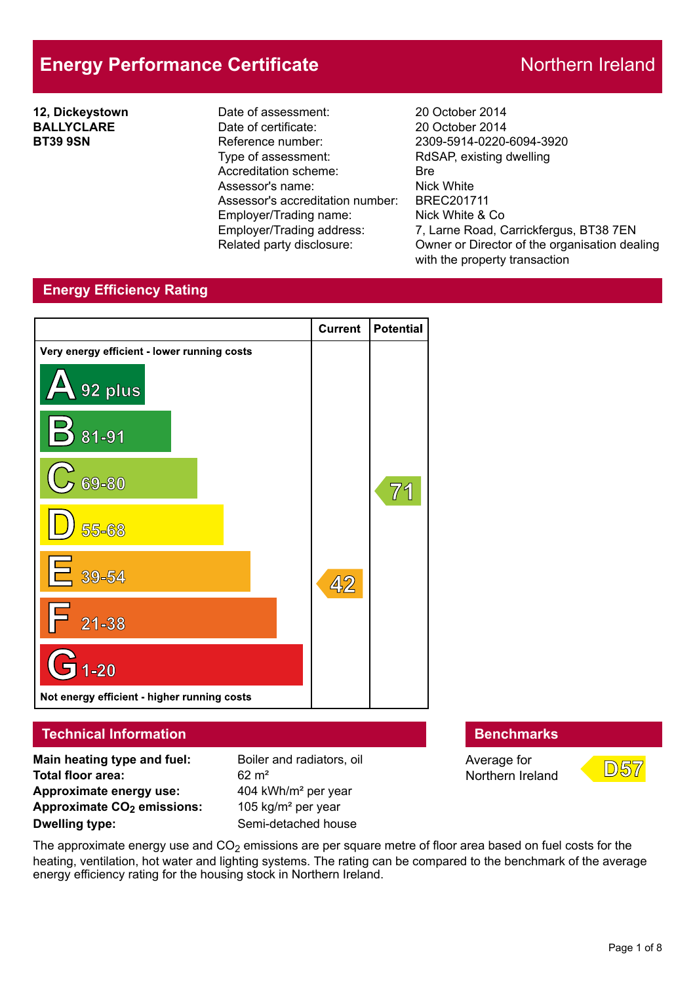# **Energy Performance Certificate** Northern Ireland

**12, Dickeystown BALLYCLARE BT39 9SN**

Date of assessment: 20 October 2014 Date of certificate: 20 October 2014 Reference number: 2309-5914-0220-6094-3920 Type of assessment: RdSAP, existing dwelling Accreditation scheme: Bre Assessor's name: Nick White Assessor's accreditation number: BREC201711 Employer/Trading name: Nick White & Co

Employer/Trading address: 7, Larne Road, Carrickfergus, BT38 7EN Related party disclosure: Owner or Director of the organisation dealing with the property transaction

# **Energy Efficiency Rating**



**Dwelling type:** Semi-detached house

Northern Ireland



The approximate energy use and  $CO<sub>2</sub>$  emissions are per square metre of floor area based on fuel costs for the heating, ventilation, hot water and lighting systems. The rating can be compared to the benchmark of the average energy efficiency rating for the housing stock in Northern Ireland.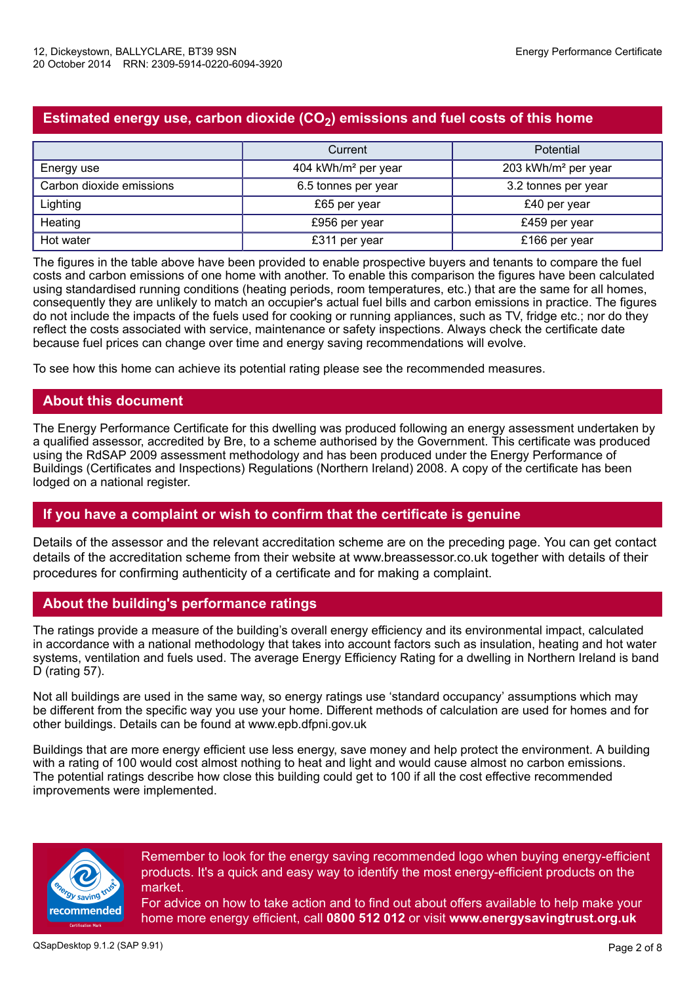# **Estimated energy use, carbon dioxide (CO2) emissions and fuel costs of this home**

|                          | Current                         | Potential                       |  |
|--------------------------|---------------------------------|---------------------------------|--|
| Energy use               | 404 kWh/m <sup>2</sup> per year | 203 kWh/m <sup>2</sup> per year |  |
| Carbon dioxide emissions | 6.5 tonnes per year             | 3.2 tonnes per year             |  |
| Lighting                 | £65 per year                    | £40 per year                    |  |
| Heating                  | £956 per year                   | £459 per year                   |  |
| Hot water                | £311 per year                   | £166 per year                   |  |

The figures in the table above have been provided to enable prospective buyers and tenants to compare the fuel costs and carbon emissions of one home with another. To enable this comparison the figures have been calculated using standardised running conditions (heating periods, room temperatures, etc.) that are the same for all homes, consequently they are unlikely to match an occupier's actual fuel bills and carbon emissions in practice. The figures do not include the impacts of the fuels used for cooking or running appliances, such as TV, fridge etc.; nor do they reflect the costs associated with service, maintenance or safety inspections. Always check the certificate date because fuel prices can change over time and energy saving recommendations will evolve.

To see how this home can achieve its potential rating please see the recommended measures.

# **About this document**

The Energy Performance Certificate for this dwelling was produced following an energy assessment undertaken by a qualified assessor, accredited by Bre, to a scheme authorised by the Government. This certificate was produced using the RdSAP 2009 assessment methodology and has been produced under the Energy Performance of Buildings (Certificates and Inspections) Regulations (Northern Ireland) 2008. A copy of the certificate has been lodged on a national register.

### **If you have a complaint or wish to confirm that the certificate is genuine**

Details of the assessor and the relevant accreditation scheme are on the preceding page. You can get contact details of the accreditation scheme from their website at www.breassessor.co.uk together with details of their procedures for confirming authenticity of a certificate and for making a complaint.

### **About the building's performance ratings**

The ratings provide a measure of the building's overall energy efficiency and its environmental impact, calculated in accordance with a national methodology that takes into account factors such as insulation, heating and hot water systems, ventilation and fuels used. The average Energy Efficiency Rating for a dwelling in Northern Ireland is band D (rating 57).

Not all buildings are used in the same way, so energy ratings use 'standard occupancy' assumptions which may be different from the specific way you use your home. Different methods of calculation are used for homes and for other buildings. Details can be found at www.epb.dfpni.gov.uk

Buildings that are more energy efficient use less energy, save money and help protect the environment. A building with a rating of 100 would cost almost nothing to heat and light and would cause almost no carbon emissions. The potential ratings describe how close this building could get to 100 if all the cost effective recommended improvements were implemented.



Remember to look for the energy saving recommended logo when buying energy-efficient products. It's a quick and easy way to identify the most energy-efficient products on the market.

For advice on how to take action and to find out about offers available to help make your home more energy efficient, call **0800 512 012** or visit **www.energysavingtrust.org.uk**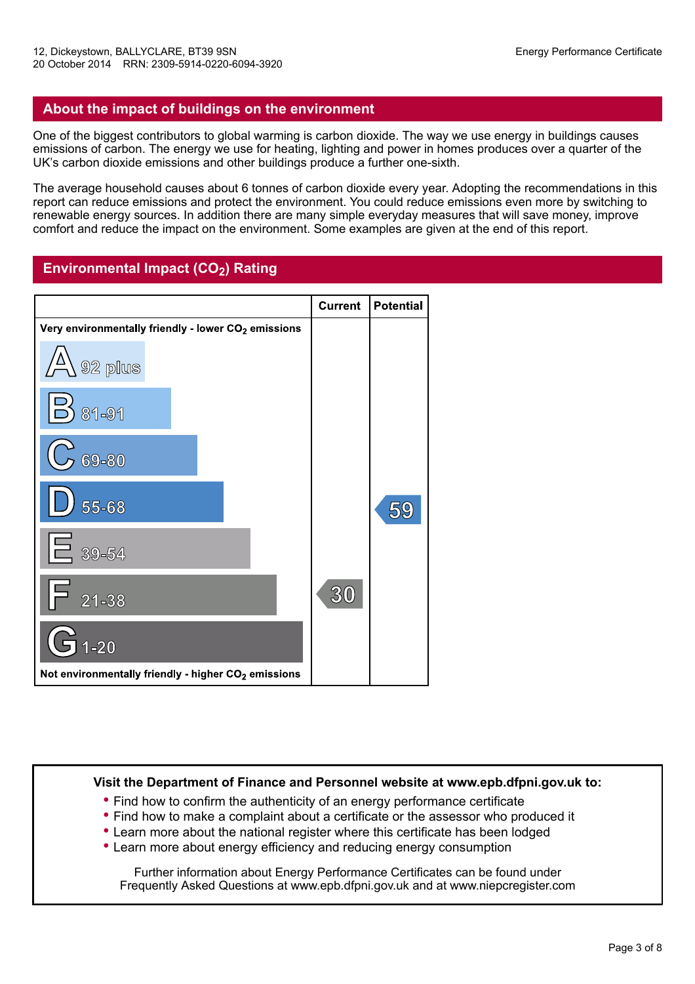### **About the impact of buildings on the environment**

One of the biggest contributors to global warming is carbon dioxide. The way we use energy in buildings causes emissions of carbon. The energy we use for heating, lighting and power in homes produces over a quarter of the UK's carbon dioxide emissions and other buildings produce a further one-sixth.

The average household causes about 6 tonnes of carbon dioxide every year. Adopting the recommendations in this report can reduce emissions and protect the environment. You could reduce emissions even more by switching to renewable energy sources. In addition there are many simple everyday measures that will save money, improve comfort and reduce the impact on the environment. Some examples are given at the end of this report.

# **Environmental Impact (CO2) Rating**



#### **Visit the Department of Finance and Personnel website at www.epb.dfpni.gov.uk to:**

- **•** Find how to confirm the authenticity of an energy performance certificate
- **•** Find how to make a complaint about a certificate or the assessor who produced it
- **•** Learn more about the national register where this certificate has been lodged
- **•** Learn more about energy efficiency and reducing energy consumption

Further information about Energy Performance Certificates can be found under Frequently Asked Questions at www.epb.dfpni.gov.uk and at www.niepcregister.com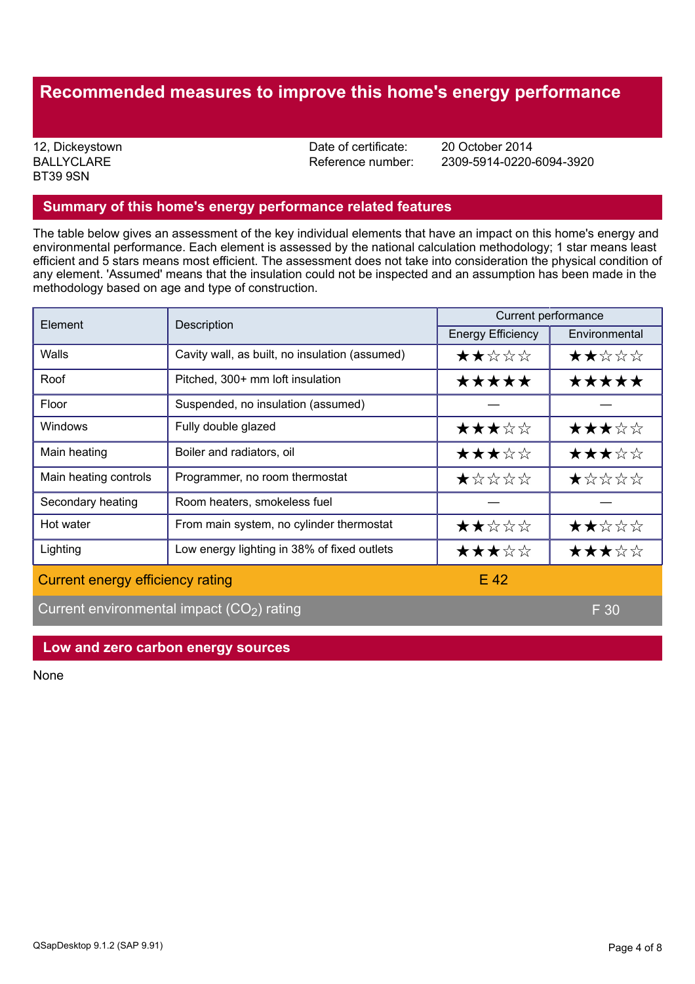# **Recommended measures to improve this home's energy performance**

**BALLYCLARE** BT39 9SN

12, Dickeystown **12, Dickeystown** 2014<br>BALLYCLARE **Date of certificate:** 20 October 2014<br>Reference number: 2309-5914-0220-

Reference number: 2309-5914-0220-6094-3920

#### **Summary of this home's energy performance related features**

The table below gives an assessment of the key individual elements that have an impact on this home's energy and environmental performance. Each element is assessed by the national calculation methodology; 1 star means least efficient and 5 stars means most efficient. The assessment does not take into consideration the physical condition of any element. 'Assumed' means that the insulation could not be inspected and an assumption has been made in the methodology based on age and type of construction.

| Element                                     | Description                                    | Current performance      |               |  |
|---------------------------------------------|------------------------------------------------|--------------------------|---------------|--|
|                                             |                                                | <b>Energy Efficiency</b> | Environmental |  |
| Walls                                       | Cavity wall, as built, no insulation (assumed) | ★★☆☆☆                    | ★★☆☆☆         |  |
| Roof                                        | Pitched, 300+ mm loft insulation               | *****                    | *****         |  |
| Floor                                       | Suspended, no insulation (assumed)             |                          |               |  |
| <b>Windows</b>                              | Fully double glazed                            | ★★★☆☆                    | ★★★☆☆         |  |
| Main heating                                | Boiler and radiators, oil                      | ★★★☆☆                    | ★★★☆☆         |  |
| Main heating controls                       | Programmer, no room thermostat                 | ★☆☆☆☆                    | ★☆☆☆☆         |  |
| Secondary heating                           | Room heaters, smokeless fuel                   |                          |               |  |
| Hot water                                   | From main system, no cylinder thermostat       | ★★☆☆☆                    | ★★☆☆☆         |  |
| Lighting                                    | Low energy lighting in 38% of fixed outlets    | ★★★☆☆                    | ★★★☆☆         |  |
| Current energy efficiency rating            |                                                | $E$ 42                   |               |  |
| Current environmental impact $(CO2)$ rating |                                                |                          | F 30          |  |

#### **Low and zero carbon energy sources**

None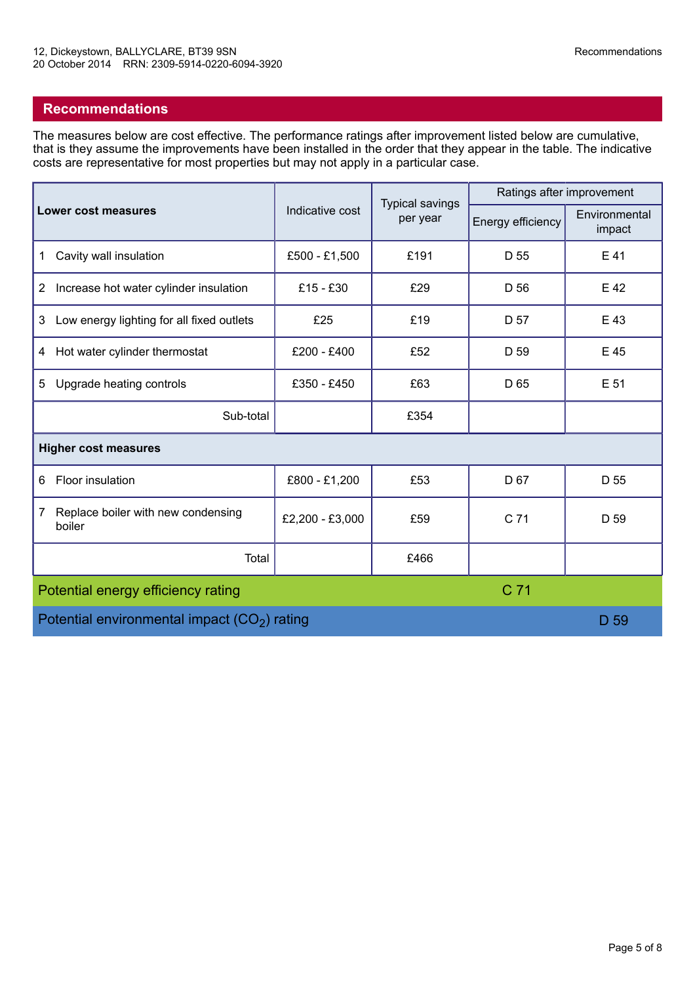# **Recommendations**

The measures below are cost effective. The performance ratings after improvement listed below are cumulative, that is they assume the improvements have been installed in the order that they appear in the table. The indicative costs are representative for most properties but may not apply in a particular case.

|                                                   | Indicative cost | <b>Typical savings</b><br>per year | Ratings after improvement |                         |  |  |  |
|---------------------------------------------------|-----------------|------------------------------------|---------------------------|-------------------------|--|--|--|
| <b>Lower cost measures</b>                        |                 |                                    | Energy efficiency         | Environmental<br>impact |  |  |  |
| Cavity wall insulation<br>1                       | £500 - £1,500   | £191                               | D 55                      | E 41                    |  |  |  |
| Increase hot water cylinder insulation<br>2       | £15 - £30       | £29                                | D 56                      | E 42                    |  |  |  |
| Low energy lighting for all fixed outlets<br>3    | £25             | £19                                | D 57                      | E 43                    |  |  |  |
| Hot water cylinder thermostat<br>4                | £200 - £400     | £52                                | D 59                      | E 45                    |  |  |  |
| Upgrade heating controls<br>5                     | £350 - £450     | £63                                | D 65                      | E 51                    |  |  |  |
| Sub-total                                         |                 | £354                               |                           |                         |  |  |  |
| <b>Higher cost measures</b>                       |                 |                                    |                           |                         |  |  |  |
| Floor insulation<br>6                             | £800 - £1,200   | £53                                | D 67                      | D 55                    |  |  |  |
| Replace boiler with new condensing<br>7<br>boiler | £2,200 - £3,000 | £59                                | C 71                      | D 59                    |  |  |  |
| Total                                             |                 | £466                               |                           |                         |  |  |  |
| C 71<br>Potential energy efficiency rating        |                 |                                    |                           |                         |  |  |  |
| Potential environmental impact $(CO2)$ rating     | D 59            |                                    |                           |                         |  |  |  |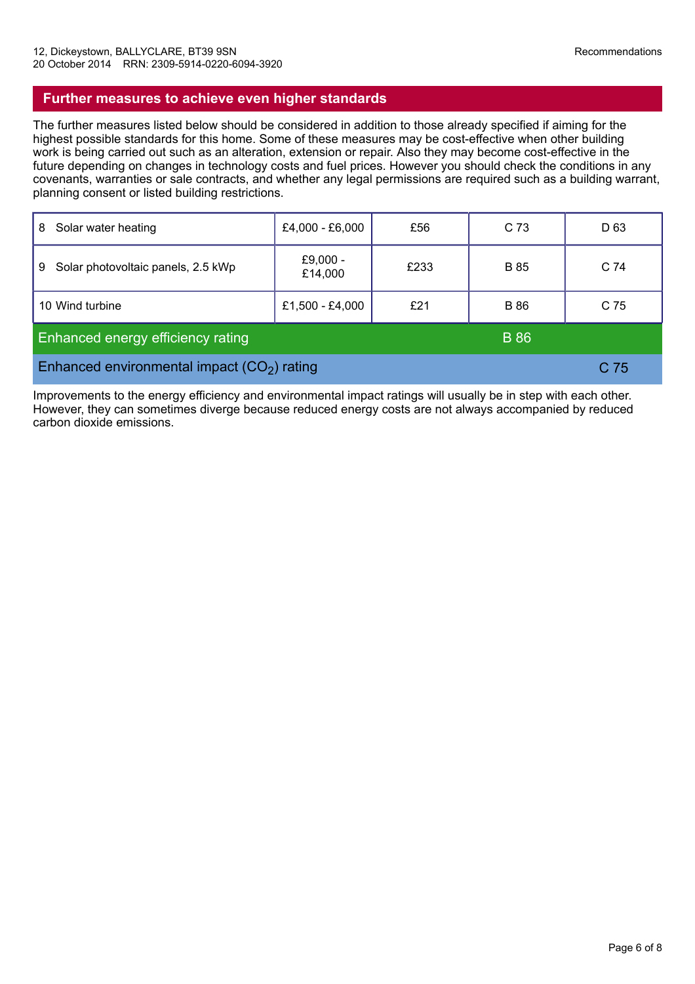# **Further measures to achieve even higher standards**

The further measures listed below should be considered in addition to those already specified if aiming for the highest possible standards for this home. Some of these measures may be cost-effective when other building work is being carried out such as an alteration, extension or repair. Also they may become cost-effective in the future depending on changes in technology costs and fuel prices. However you should check the conditions in any covenants, warranties or sale contracts, and whether any legal permissions are required such as a building warrant, planning consent or listed building restrictions.

| Solar water heating<br>8                                | £4,000 - £6,000        | £56  | C 73        | D <sub>63</sub> |
|---------------------------------------------------------|------------------------|------|-------------|-----------------|
| Solar photovoltaic panels, 2.5 kWp<br>9                 | £ $9,000 -$<br>£14,000 | £233 | <b>B</b> 85 | C <sub>74</sub> |
| 10 Wind turbine                                         | £1,500 - £4,000        | £21  | <b>B</b> 86 | C 75            |
| <b>Enhanced energy efficiency rating</b><br><b>B</b> 86 |                        |      |             |                 |
| Enhanced environmental impact $(CO2)$ rating            |                        |      |             | C 75            |

Improvements to the energy efficiency and environmental impact ratings will usually be in step with each other. However, they can sometimes diverge because reduced energy costs are not always accompanied by reduced carbon dioxide emissions.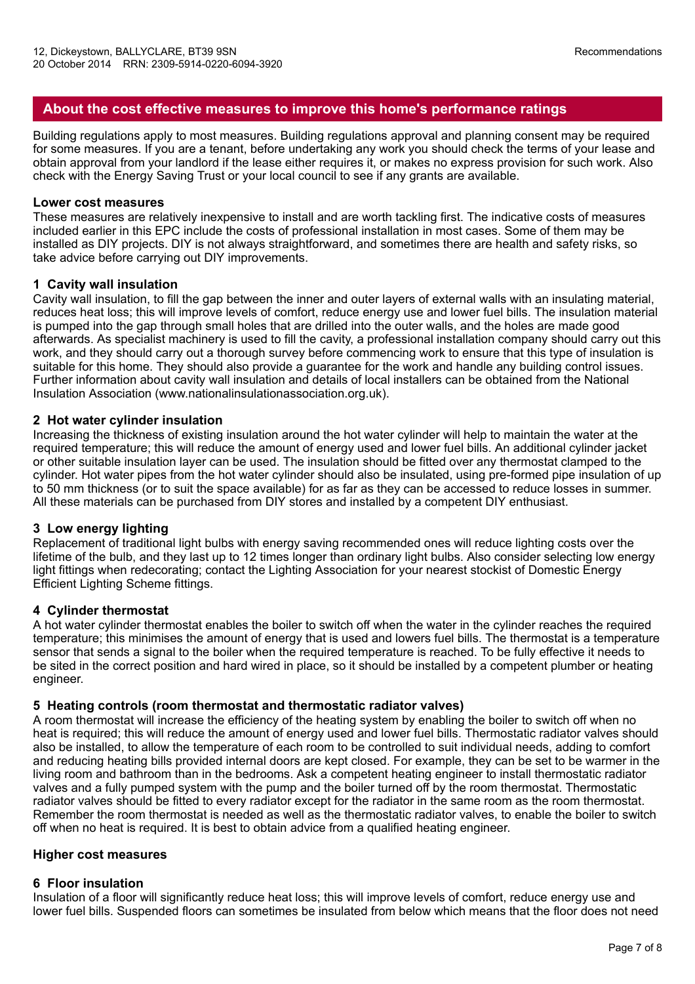# **About the cost effective measures to improve this home's performance ratings**

Building regulations apply to most measures. Building regulations approval and planning consent may be required for some measures. If you are a tenant, before undertaking any work you should check the terms of your lease and obtain approval from your landlord if the lease either requires it, or makes no express provision for such work. Also check with the Energy Saving Trust or your local council to see if any grants are available.

#### **Lower cost measures**

These measures are relatively inexpensive to install and are worth tackling first. The indicative costs of measures included earlier in this EPC include the costs of professional installation in most cases. Some of them may be installed as DIY projects. DIY is not always straightforward, and sometimes there are health and safety risks, so take advice before carrying out DIY improvements.

#### **1 Cavity wall insulation**

Cavity wall insulation, to fill the gap between the inner and outer layers of external walls with an insulating material, reduces heat loss; this will improve levels of comfort, reduce energy use and lower fuel bills. The insulation material is pumped into the gap through small holes that are drilled into the outer walls, and the holes are made good afterwards. As specialist machinery is used to fill the cavity, a professional installation company should carry out this work, and they should carry out a thorough survey before commencing work to ensure that this type of insulation is suitable for this home. They should also provide a guarantee for the work and handle any building control issues. Further information about cavity wall insulation and details of local installers can be obtained from the National Insulation Association (www.nationalinsulationassociation.org.uk).

#### **2 Hot water cylinder insulation**

Increasing the thickness of existing insulation around the hot water cylinder will help to maintain the water at the required temperature; this will reduce the amount of energy used and lower fuel bills. An additional cylinder jacket or other suitable insulation layer can be used. The insulation should be fitted over any thermostat clamped to the cylinder. Hot water pipes from the hot water cylinder should also be insulated, using pre-formed pipe insulation of up to 50 mm thickness (or to suit the space available) for as far as they can be accessed to reduce losses in summer. All these materials can be purchased from DIY stores and installed by a competent DIY enthusiast.

#### **3 Low energy lighting**

Replacement of traditional light bulbs with energy saving recommended ones will reduce lighting costs over the lifetime of the bulb, and they last up to 12 times longer than ordinary light bulbs. Also consider selecting low energy light fittings when redecorating; contact the Lighting Association for your nearest stockist of Domestic Energy Efficient Lighting Scheme fittings.

#### **4 Cylinder thermostat**

A hot water cylinder thermostat enables the boiler to switch off when the water in the cylinder reaches the required temperature; this minimises the amount of energy that is used and lowers fuel bills. The thermostat is a temperature sensor that sends a signal to the boiler when the required temperature is reached. To be fully effective it needs to be sited in the correct position and hard wired in place, so it should be installed by a competent plumber or heating engineer.

#### **5 Heating controls (room thermostat and thermostatic radiator valves)**

A room thermostat will increase the efficiency of the heating system by enabling the boiler to switch off when no heat is required; this will reduce the amount of energy used and lower fuel bills. Thermostatic radiator valves should also be installed, to allow the temperature of each room to be controlled to suit individual needs, adding to comfort and reducing heating bills provided internal doors are kept closed. For example, they can be set to be warmer in the living room and bathroom than in the bedrooms. Ask a competent heating engineer to install thermostatic radiator valves and a fully pumped system with the pump and the boiler turned off by the room thermostat. Thermostatic radiator valves should be fitted to every radiator except for the radiator in the same room as the room thermostat. Remember the room thermostat is needed as well as the thermostatic radiator valves, to enable the boiler to switch off when no heat is required. It is best to obtain advice from a qualified heating engineer.

#### **Higher cost measures**

#### **6 Floor insulation**

Insulation of a floor will significantly reduce heat loss; this will improve levels of comfort, reduce energy use and lower fuel bills. Suspended floors can sometimes be insulated from below which means that the floor does not need